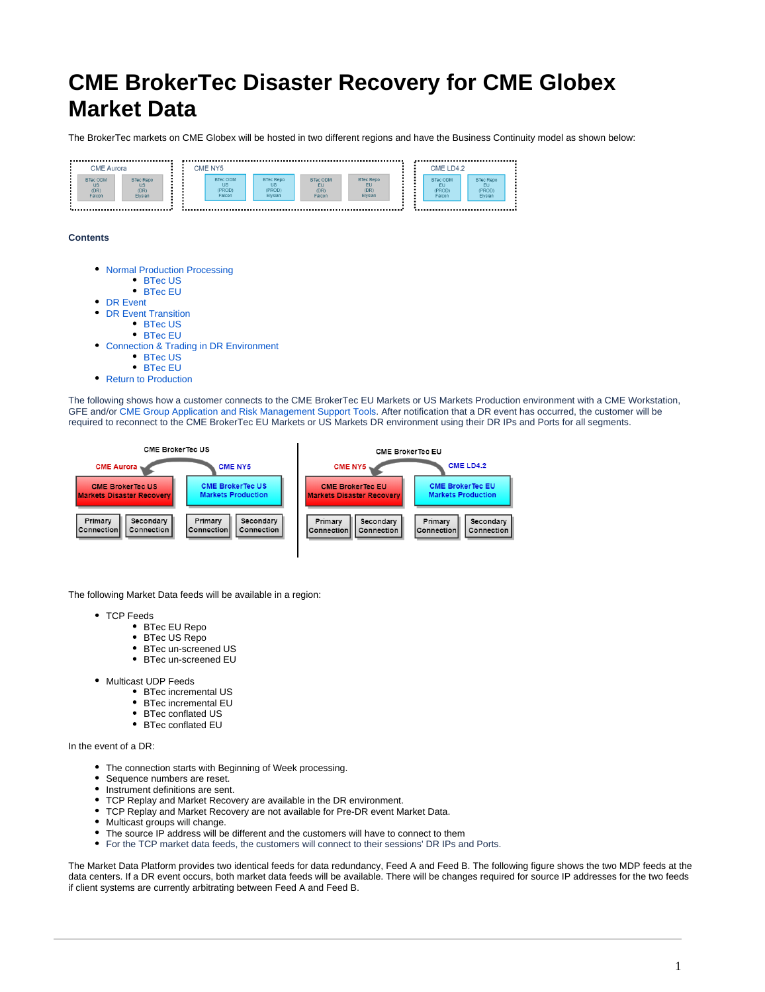# **CME BrokerTec Disaster Recovery for CME Globex Market Data**

The BrokerTec markets on CME Globex will be hosted in two different regions and have the Business Continuity model as shown below:



**Contents**



[Return to Production](#page-3-1)

The following shows how a customer connects to the CME BrokerTec EU Markets or US Markets Production environment with a CME Workstation, GFE and/or [CME Group Application and Risk Management Support Tools.](https://wiki.chicago.cme.com/confluence/display/CLIMP/CME+BrokerTec+Risk+Management+Support+Tools+-+THIS+NEEDS+TO+BE+REVIEWED+FOR+BrokerTec+Risk+Tools) After notification that a DR event has occurred, the customer will be required to reconnect to the CME BrokerTec EU Markets or US Markets DR environment using their DR IPs and Ports for all segments.



The following Market Data feeds will be available in a region:

- TCP Feeds
	- BTec EU Repo
	- BTec US Repo
	- $\bullet$ BTec un-screened US
	- BTec un-screened EU
- Multicast UDP Feeds
	- BTec incremental US
	- BTec incremental EU
	- BTec conflated US
	- BTec conflated EU

In the event of a DR:

- The connection starts with Beginning of Week processing.
- Sequence numbers are reset.
- Instrument definitions are sent.
- TCP Replay and Market Recovery are available in the DR environment.  $\bullet$
- TCP Replay and Market Recovery are not available for Pre-DR event Market Data.
- $\bullet$ Multicast groups will change.
- $\bullet$ The source IP address will be different and the customers will have to connect to them
- For the TCP market data feeds, the customers will connect to their sessions' DR IPs and Ports.

<span id="page-0-0"></span>The Market Data Platform provides two identical feeds for data redundancy, Feed A and Feed B. The following figure shows the two MDP feeds at the data centers. If a DR event occurs, both market data feeds will be available. There will be changes required for source IP addresses for the two feeds if client systems are currently arbitrating between Feed A and Feed B.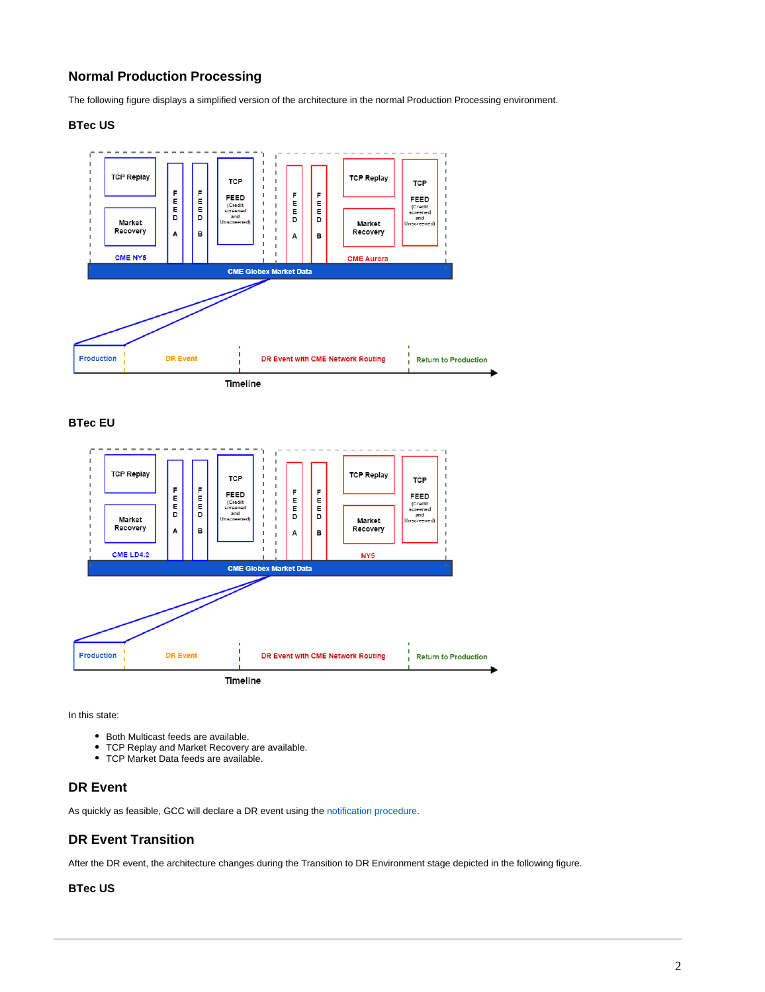## **Normal Production Processing**

The following figure displays a simplified version of the architecture in the normal Production Processing environment.

#### **BTec US**

<span id="page-1-0"></span>

**BTec EU**

<span id="page-1-1"></span>

In this state:

- Both Multicast feeds are available.
- TCP Replay and Market Recovery are available.
- TCP Market Data feeds are available.

### <span id="page-1-2"></span>**DR Event**

As quickly as feasible, GCC will declare a DR event using the [notification procedure](https://www.cmegroup.com/confluence/display/EPICSANDBOX/CME+Globex+Disaster+Recovery+Process#CMEGlobexDisasterRecoveryProcess-DisasterRecoveryEventNotification).

## <span id="page-1-3"></span>**DR Event Transition**

After the DR event, the architecture changes during the Transition to DR Environment stage depicted in the following figure.

#### <span id="page-1-4"></span>**BTec US**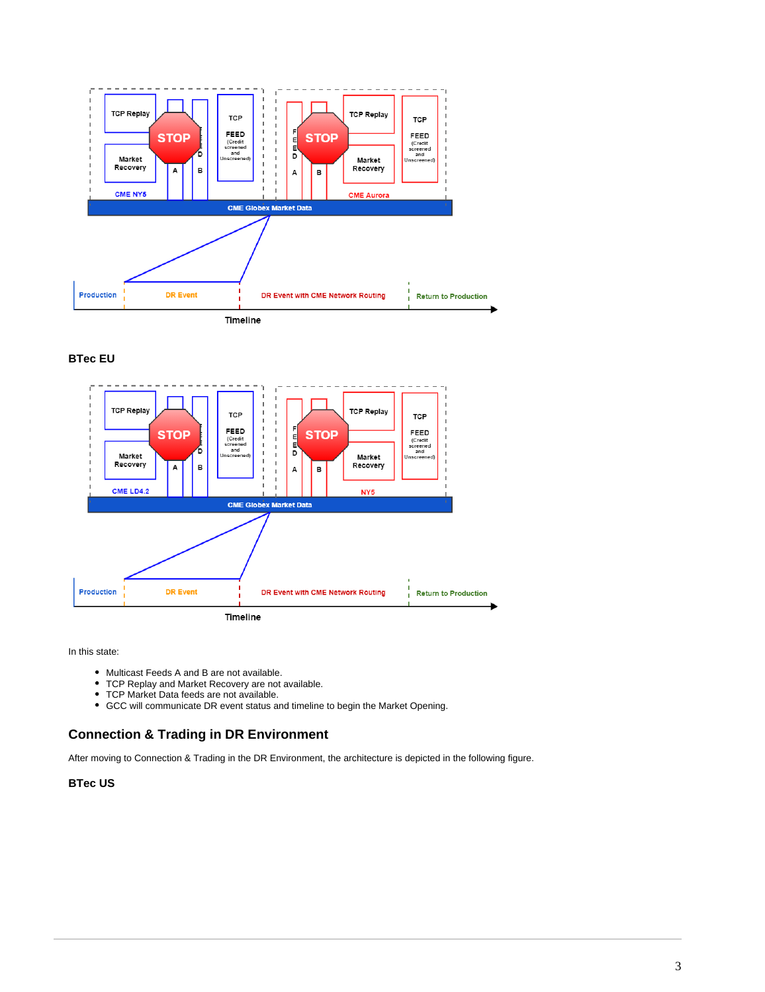

#### **BTec EU**

<span id="page-2-0"></span>

In this state:

- Multicast Feeds A and B are not available.
- TCP Replay and Market Recovery are not available.
- TCP Market Data feeds are not available.
- GCC will communicate DR event status and timeline to begin the Market Opening.

## <span id="page-2-1"></span>**Connection & Trading in DR Environment**

After moving to Connection & Trading in the DR Environment, the architecture is depicted in the following figure.

#### <span id="page-2-2"></span>**BTec US**